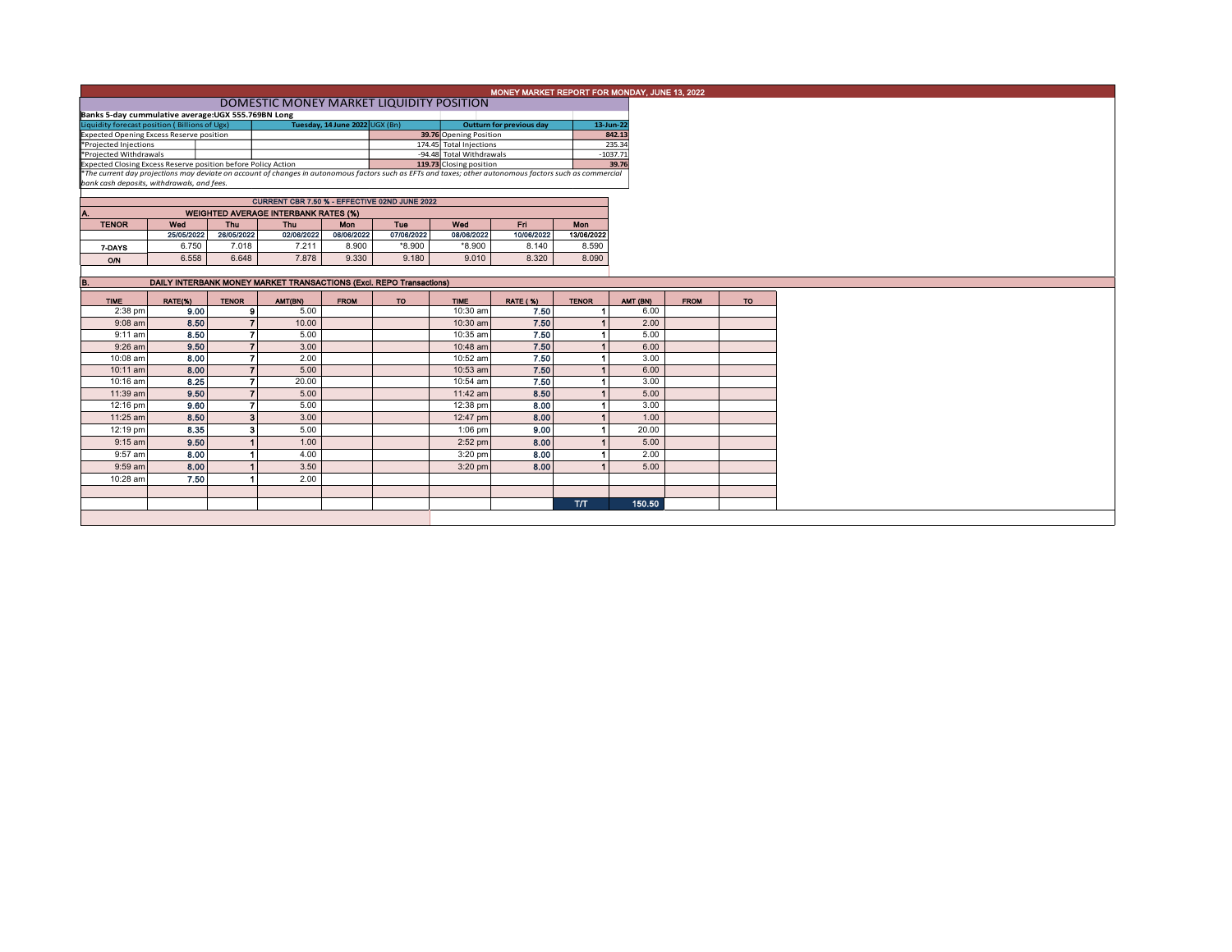|                                                                                                                                                          | MONEY MARKET REPORT FOR MONDAY, JUNE 13, 2022       |                                               |                          |                   |                                                                            |                          |                          |              |            |             |     |  |  |  |
|----------------------------------------------------------------------------------------------------------------------------------------------------------|-----------------------------------------------------|-----------------------------------------------|--------------------------|-------------------|----------------------------------------------------------------------------|--------------------------|--------------------------|--------------|------------|-------------|-----|--|--|--|
|                                                                                                                                                          | DOMESTIC MONEY MARKET LIQUIDITY POSITION            |                                               |                          |                   |                                                                            |                          |                          |              |            |             |     |  |  |  |
|                                                                                                                                                          | Banks 5-day cummulative average: UGX 555.769BN Long |                                               |                          |                   |                                                                            |                          |                          |              |            |             |     |  |  |  |
| Liquidity forecast position (Billions of Ugx)<br>Tuesday, 14 June 2022 UGX (Bn)                                                                          |                                                     |                                               |                          |                   |                                                                            |                          | Outturn for previous day |              | 13-Jun-22  |             |     |  |  |  |
| <b>Expected Opening Excess Reserve position</b>                                                                                                          |                                                     |                                               |                          |                   |                                                                            | 39.76 Opening Position   |                          |              | 842.13     |             |     |  |  |  |
| *Projected Injections                                                                                                                                    |                                                     |                                               |                          |                   |                                                                            | 174.45 Total Injections  |                          |              | 235.34     |             |     |  |  |  |
| *Projected Withdrawals                                                                                                                                   |                                                     |                                               |                          |                   |                                                                            | -94.48 Total Withdrawals |                          |              | $-1037.71$ |             |     |  |  |  |
| Expected Closing Excess Reserve position before Policy Action                                                                                            |                                                     |                                               |                          |                   |                                                                            | 119.73 Closing position  |                          |              | 39.76      |             |     |  |  |  |
| *The current day projections may deviate on account of changes in autonomous factors such as EFTs and taxes; other autonomous factors such as commercial |                                                     |                                               |                          |                   |                                                                            |                          |                          |              |            |             |     |  |  |  |
| bank cash deposits, withdrawals, and fees.                                                                                                               |                                                     |                                               |                          |                   |                                                                            |                          |                          |              |            |             |     |  |  |  |
|                                                                                                                                                          |                                                     | CURRENT CBR 7.50 % - EFFECTIVE 02ND JUNE 2022 |                          |                   |                                                                            |                          |                          |              |            |             |     |  |  |  |
|                                                                                                                                                          |                                                     |                                               |                          |                   |                                                                            |                          |                          |              |            |             |     |  |  |  |
|                                                                                                                                                          | <b>WEIGHTED AVERAGE INTERBANK RATES (%)</b><br>Wed  | <b>Mon</b>                                    |                          |                   |                                                                            |                          |                          |              |            |             |     |  |  |  |
| <b>TENOR</b>                                                                                                                                             | 25/05/2022                                          | Thu<br>26/05/2022                             | <b>Thu</b><br>02/06/2022 | Mon<br>06/06/2022 | Tue<br>07/06/2022                                                          | Wed<br>08/06/2022        | En i<br>10/06/2022       | 13/06/2022   |            |             |     |  |  |  |
|                                                                                                                                                          |                                                     |                                               |                          |                   |                                                                            |                          |                          |              |            |             |     |  |  |  |
| 7-DAYS                                                                                                                                                   | 6.750                                               | 7.018                                         | 7.211                    | 8.900             | $*8.900$                                                                   | *8.900                   | 8.140                    | 8.590        |            |             |     |  |  |  |
| O/N                                                                                                                                                      | 6.558                                               | 6.648                                         | 7.878                    | 9.330             | 9.180                                                                      | 9.010                    | 8.320                    | 8.090        |            |             |     |  |  |  |
|                                                                                                                                                          |                                                     |                                               |                          |                   |                                                                            |                          |                          |              |            |             |     |  |  |  |
| IB.                                                                                                                                                      |                                                     |                                               |                          |                   | <b>DAILY INTERBANK MONEY MARKET TRANSACTIONS (Excl. REPO Transactions)</b> |                          |                          |              |            |             |     |  |  |  |
|                                                                                                                                                          |                                                     |                                               |                          |                   |                                                                            |                          |                          |              |            |             |     |  |  |  |
| <b>TIME</b>                                                                                                                                              | RATE(%)                                             | <b>TENOR</b>                                  | AMT(BN)                  | <b>FROM</b>       | TO                                                                         | <b>TIME</b>              | <b>RATE (%)</b>          | <b>TENOR</b> | AMT (BN)   | <b>FROM</b> | TO: |  |  |  |
| 2:38 pm                                                                                                                                                  | 9.00                                                | 9                                             | 5.00                     |                   |                                                                            | 10:30 am                 | 7.50                     |              | 6.00       |             |     |  |  |  |
| $9:08$ am                                                                                                                                                | 8.50                                                | $\overline{7}$                                | 10.00                    |                   |                                                                            | 10:30 am                 | 7.50                     |              | 2.00       |             |     |  |  |  |
| $9:11$ am                                                                                                                                                | 8.50                                                | 7                                             | 5.00                     |                   |                                                                            | 10:35 am                 | 7.50                     |              | 5.00       |             |     |  |  |  |
| $9:26$ am                                                                                                                                                | 9.50                                                | $\overline{7}$                                | 3.00                     |                   |                                                                            | 10:48 am                 | 7.50                     |              | 6.00       |             |     |  |  |  |
| 10:08 am                                                                                                                                                 | 8.00                                                | 7                                             | 2.00                     |                   |                                                                            | 10:52 am                 | 7.50                     |              | 3.00       |             |     |  |  |  |
| 10:11 am                                                                                                                                                 | 8.00                                                | $\overline{7}$                                | 5.00                     |                   |                                                                            | $10:53$ am               | 7.50                     |              | 6.00       |             |     |  |  |  |
| 10:16 am                                                                                                                                                 | 8.25                                                | $\overline{7}$                                | 20.00                    |                   |                                                                            | $10:54$ am               | 7.50                     |              | 3.00       |             |     |  |  |  |
| 11:39 am                                                                                                                                                 | 9.50                                                | $\overline{7}$                                | 5.00                     |                   |                                                                            | $11:42$ am               | 8.50                     |              | 5.00       |             |     |  |  |  |
| 12:16 pm                                                                                                                                                 | 9.60                                                | $\overline{7}$                                | 5.00                     |                   |                                                                            |                          | 8.00                     |              | 3.00       |             |     |  |  |  |
|                                                                                                                                                          |                                                     |                                               |                          |                   |                                                                            | 12:38 pm                 |                          |              |            |             |     |  |  |  |
| 11:25 am                                                                                                                                                 | 8.50                                                | $\overline{\mathbf{3}}$                       | 3.00                     |                   |                                                                            | 12:47 pm                 | 8.00                     |              | 1.00       |             |     |  |  |  |
| 12:19 pm                                                                                                                                                 | 8.35                                                | 3 <sup>1</sup>                                | 5.00                     |                   |                                                                            | $1:06$ pm                | 9.00                     |              | 20.00      |             |     |  |  |  |
| $9:15$ am                                                                                                                                                | 9.50                                                | $\overline{1}$                                | 1.00                     |                   |                                                                            | $2:52$ pm                | 8.00                     |              | 5.00       |             |     |  |  |  |
| 9:57 am                                                                                                                                                  | 8.00                                                |                                               | 4.00                     |                   |                                                                            | $3:20$ pm                | 8.00                     |              | 2.00       |             |     |  |  |  |
| $9:59$ am                                                                                                                                                | 8.00                                                |                                               | 3.50                     |                   |                                                                            | $3:20$ pm                | 8.00                     |              | 5.00       |             |     |  |  |  |
| 10:28 am                                                                                                                                                 | 7.50                                                |                                               | 2.00                     |                   |                                                                            |                          |                          |              |            |             |     |  |  |  |
|                                                                                                                                                          |                                                     |                                               |                          |                   |                                                                            |                          |                          |              |            |             |     |  |  |  |
|                                                                                                                                                          |                                                     |                                               |                          |                   |                                                                            |                          |                          |              |            |             |     |  |  |  |
|                                                                                                                                                          |                                                     |                                               |                          |                   |                                                                            |                          |                          | <b>T/T</b>   | 150.50     |             |     |  |  |  |
|                                                                                                                                                          |                                                     |                                               |                          |                   |                                                                            |                          |                          |              |            |             |     |  |  |  |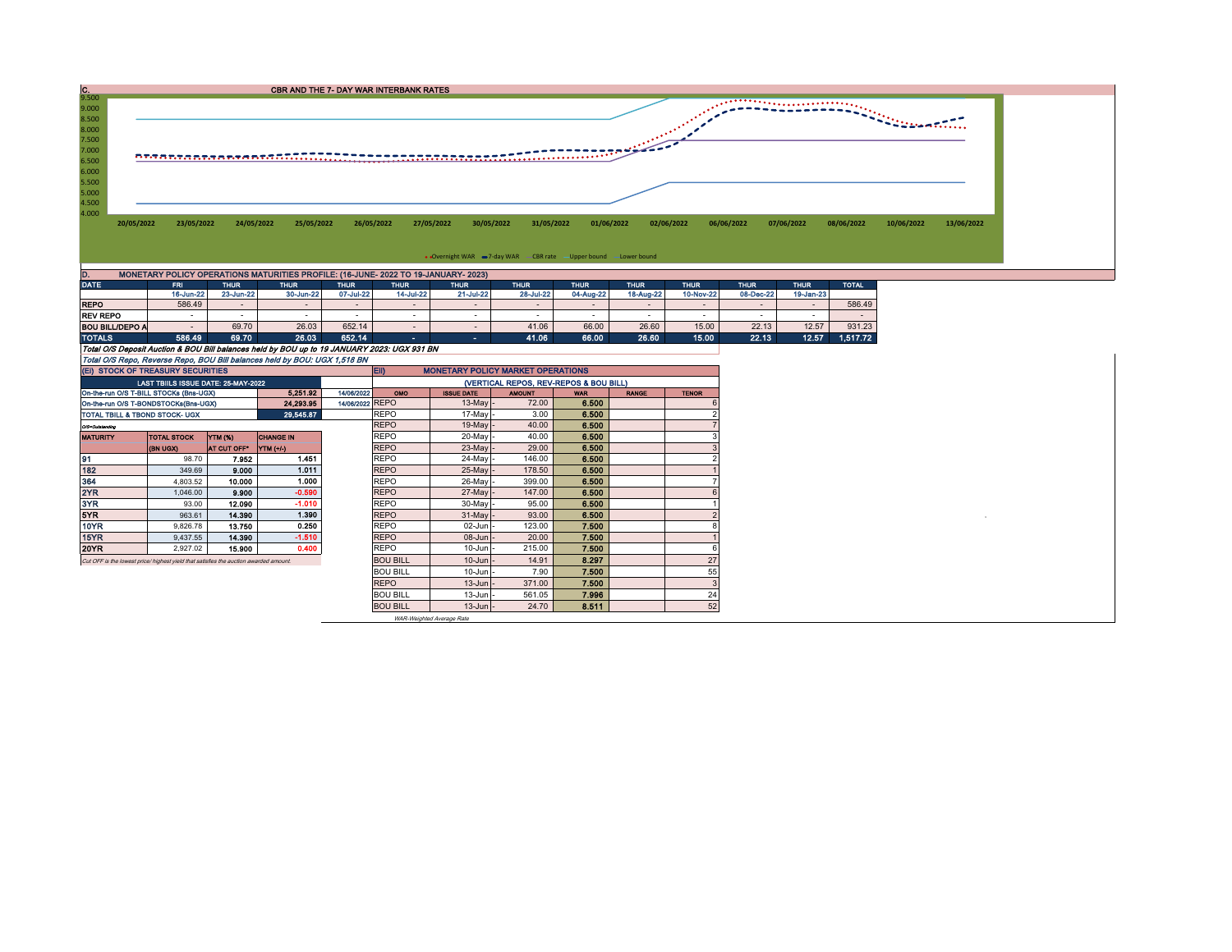

On-the-run O/S T-BILL STOCKs (Bns-UGX) 5,251.92 14/06/2022 OMO ISSUE DATE AMOUNT WAR RANGE TENOR<br>On-the-run O/S T-BONDSTOCKs (Bns-UGX) 24,293.95 14/06/2022 REPO 13-May - 72.00 6.500 On-the-run O/S T-BONDSTOCKs(Bns-UGX) 24,293.95 14/06/2022 REPO 13-May - 13-May - 13-May - 13-May - 13-May - 13-May - 13-May - 13-May - 13-May - 13-May - 13-May - 13-May - 13-May - 13-May - 13-May - 13-May - 13-May - 13-May TOTAL TBILL & TBOND STOCK- UGX 29,545.87 REPO 17-May - 3.00 6.500 6.500 O/S=Outstanding REPO 19-May - 40.00 6.500 7 MATURITY |TOTAL STOCK |YTM (%) |CHANGE IN | REPO | 20-May - 40.00 | 6.500 | 3 (BN UGX) AT CUT OFF\* YTM (+/-) REPO 23-May - 29.00 6.500 3 91 98.70 7.952 1.451 REPO 24-May - 146.00 6.500 2 182 349.69 9.000 1.011 REPO 25-May - 178.50 6.500 1 364 | 4,803.52 | **10.000 | 1.000** | |REPO | 26-May |- 399.00 | **6.500 | |** 7 2YR 1,046.00 9.900 -0.590 REPO 27-May - 147.00 6.500 6 3YR 93.00 12.090 -1.010 REPO 30-May - 95.00 6.500 1 5YR 963.61 14.390 1.390 REPO 31-May - 93.00 6.500 2 <sup>0</sup> 10YR 9,826.78 13.750 0.250 REPO 02-Jun - 123.00 7.500 8 15YR 9,437.55 14.390 -1.510 REPO 08-Jun - 20.00 7.500 1 20YR 2,927.02 15.900 0.400 REPO 10-Jun - 215.00 7.500 6 Cut OFF is the lowest price/ highest yield that satisfies the auction awarded amount.<br>
BOU BILL 10-Jun - 7.90 7.500 7.500 BOU BILL  $\begin{array}{|c|c|c|c|c|c|} \hline \text{BOU BILL} & \text{10-Jun} & \text{7.90} & \text{7.500} & \text{7.500} \hline \end{array}$ REPO | 13-Jun - 371.00 | **7.500** | 3 BOU BILL 13-Jun - 561.05 7.996 24 BOU BILL | 13-Jun | 24.70 | 8.511 | 52 EII) MONETARY POLICY MARKET OPERATIONS LAST TBIILS ISSUE DATE: 25-MAY-2022 (Ei) STOCK OF TREASURY SECURITIES (VERTICAL REPOS, REV-REPOS & BOU BILL)

WAR-Weighted Average Rate